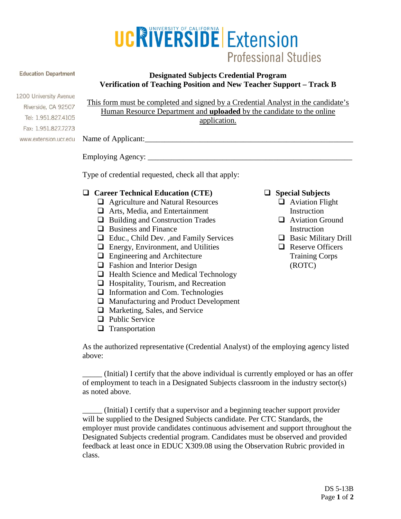

#### **Education Department**

# **Designated Subjects Credential Program Verification of Teaching Position and New Teacher Support – Track B**

1200 University Avenue Riverside, CA 92507 Tel: 1.951.827.4105 Fax: 1.951.827.7273 www.extension.ucr.edu

This form must be completed and signed by a Credential Analyst in the candidate's Human Resource Department and **uploaded** by the candidate to the online application.

Name of Applicant:

Employing Agency: \_\_\_\_\_\_\_\_\_\_\_\_\_\_\_\_\_\_\_\_\_\_\_\_\_\_\_\_\_\_\_\_\_\_\_\_\_\_\_\_\_\_\_\_\_\_\_\_\_\_\_\_

Type of credential requested, check all that apply:

# **Career Technical Education (CTE)**

- □ Agriculture and Natural Resources
- **□** Arts, Media, and Entertainment
- $\Box$  Building and Construction Trades
- **Q** Business and Finance
- Educ., Child Dev. ,and Family Services
- $\Box$  Energy, Environment, and Utilities
- $\Box$  Engineering and Architecture
- □ Fashion and Interior Design
- $\Box$  Health Science and Medical Technology
- $\Box$  Hospitality, Tourism, and Recreation
- $\Box$  Information and Com. Technologies
- □ Manufacturing and Product Development
- $\Box$  Marketing, Sales, and Service
- $\Box$  Public Service
- $\Box$  Transportation

As the authorized representative (Credential Analyst) of the employing agency listed above:

\_\_\_\_\_ (Initial) I certify that the above individual is currently employed or has an offer of employment to teach in a Designated Subjects classroom in the industry sector(s) as noted above.

\_\_\_\_\_ (Initial) I certify that a supervisor and a beginning teacher support provider will be supplied to the Designed Subjects candidate. Per CTC Standards, the employer must provide candidates continuous advisement and support throughout the Designated Subjects credential program. Candidates must be observed and provided feedback at least once in EDUC X309.08 using the Observation Rubric provided in class.

- **Special Subjects**
	- **Q** Aviation Flight **Instruction**
	- **Q** Aviation Ground **Instruction**
	- **Basic Military Drill**
	- **Q** Reserve Officers Training Corps (ROTC)